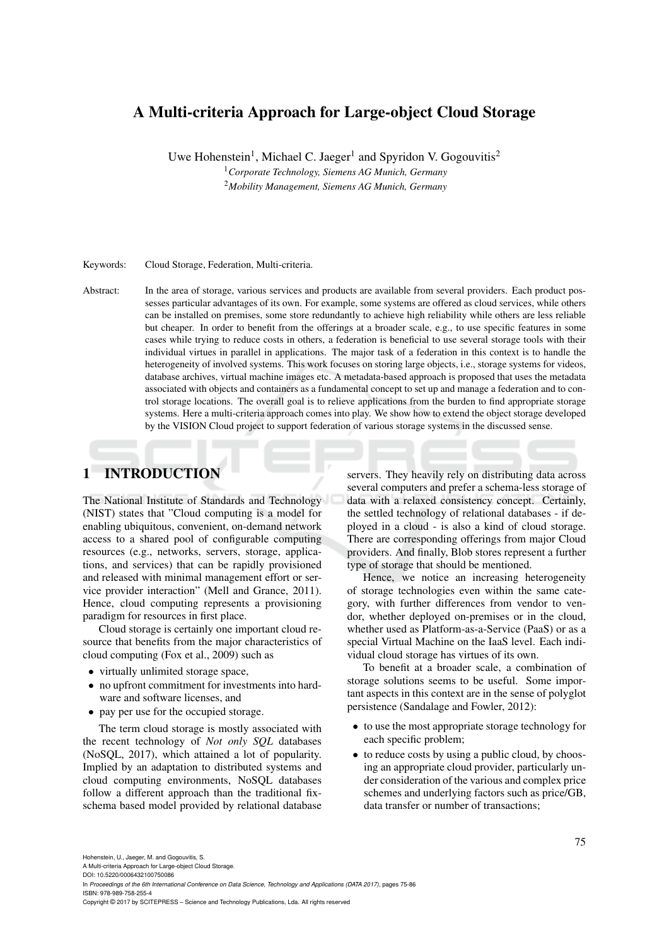# A Multi-criteria Approach for Large-object Cloud Storage

Uwe Hohenstein<sup>1</sup>, Michael C. Jaeger<sup>1</sup> and Spyridon V. Gogouvitis<sup>2</sup>

<sup>1</sup>*Corporate Technology, Siemens AG Munich, Germany*

<sup>2</sup>*Mobility Management, Siemens AG Munich, Germany*

#### Keywords: Cloud Storage, Federation, Multi-criteria.

Abstract: In the area of storage, various services and products are available from several providers. Each product possesses particular advantages of its own. For example, some systems are offered as cloud services, while others can be installed on premises, some store redundantly to achieve high reliability while others are less reliable but cheaper. In order to benefit from the offerings at a broader scale, e.g., to use specific features in some cases while trying to reduce costs in others, a federation is beneficial to use several storage tools with their individual virtues in parallel in applications. The major task of a federation in this context is to handle the heterogeneity of involved systems. This work focuses on storing large objects, i.e., storage systems for videos, database archives, virtual machine images etc. A metadata-based approach is proposed that uses the metadata associated with objects and containers as a fundamental concept to set up and manage a federation and to control storage locations. The overall goal is to relieve applications from the burden to find appropriate storage systems. Here a multi-criteria approach comes into play. We show how to extend the object storage developed by the VISION Cloud project to support federation of various storage systems in the discussed sense.

# 1 INTRODUCTION

The National Institute of Standards and Technology (NIST) states that "Cloud computing is a model for enabling ubiquitous, convenient, on-demand network access to a shared pool of configurable computing resources (e.g., networks, servers, storage, applications, and services) that can be rapidly provisioned and released with minimal management effort or service provider interaction" (Mell and Grance, 2011). Hence, cloud computing represents a provisioning paradigm for resources in first place.

Cloud storage is certainly one important cloud resource that benefits from the major characteristics of cloud computing (Fox et al., 2009) such as

- virtually unlimited storage space,
- no upfront commitment for investments into hardware and software licenses, and
- pay per use for the occupied storage.

The term cloud storage is mostly associated with the recent technology of *Not only SQL* databases (NoSQL, 2017), which attained a lot of popularity. Implied by an adaptation to distributed systems and cloud computing environments, NoSQL databases follow a different approach than the traditional fixschema based model provided by relational database

servers. They heavily rely on distributing data across several computers and prefer a schema-less storage of data with a relaxed consistency concept. Certainly, the settled technology of relational databases - if deployed in a cloud - is also a kind of cloud storage. There are corresponding offerings from major Cloud providers. And finally, Blob stores represent a further type of storage that should be mentioned.

Hence, we notice an increasing heterogeneity of storage technologies even within the same category, with further differences from vendor to vendor, whether deployed on-premises or in the cloud, whether used as Platform-as-a-Service (PaaS) or as a special Virtual Machine on the IaaS level. Each individual cloud storage has virtues of its own.

To benefit at a broader scale, a combination of storage solutions seems to be useful. Some important aspects in this context are in the sense of polyglot persistence (Sandalage and Fowler, 2012):

- to use the most appropriate storage technology for each specific problem;
- to reduce costs by using a public cloud, by choosing an appropriate cloud provider, particularly under consideration of the various and complex price schemes and underlying factors such as price/GB, data transfer or number of transactions;

A Multi-criteria Approach for Large-object Cloud Storage. DOI: 10.5220/0006432100750086

In *Proceedings of the 6th International Conference on Data Science, Technology and Applications (DATA 2017)*, pages 75-86 ISBN: 978-989-758-255-4

Copyright © 2017 by SCITEPRESS – Science and Technology Publications, Lda. All rights reserved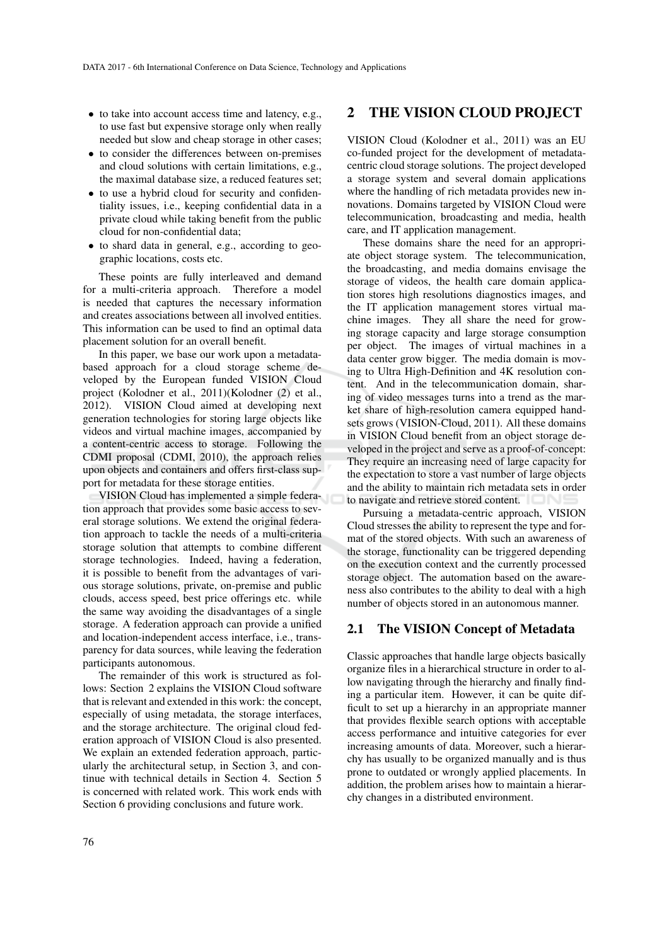- to take into account access time and latency, e.g., to use fast but expensive storage only when really needed but slow and cheap storage in other cases;
- to consider the differences between on-premises and cloud solutions with certain limitations, e.g., the maximal database size, a reduced features set;
- to use a hybrid cloud for security and confidentiality issues, i.e., keeping confidential data in a private cloud while taking benefit from the public cloud for non-confidential data;
- to shard data in general, e.g., according to geographic locations, costs etc.

These points are fully interleaved and demand for a multi-criteria approach. Therefore a model is needed that captures the necessary information and creates associations between all involved entities. This information can be used to find an optimal data placement solution for an overall benefit.

In this paper, we base our work upon a metadatabased approach for a cloud storage scheme developed by the European funded VISION Cloud project (Kolodner et al., 2011)(Kolodner (2) et al., 2012). VISION Cloud aimed at developing next generation technologies for storing large objects like videos and virtual machine images, accompanied by a content-centric access to storage. Following the CDMI proposal (CDMI, 2010), the approach relies upon objects and containers and offers first-class support for metadata for these storage entities.

VISION Cloud has implemented a simple federation approach that provides some basic access to several storage solutions. We extend the original federation approach to tackle the needs of a multi-criteria storage solution that attempts to combine different storage technologies. Indeed, having a federation, it is possible to benefit from the advantages of various storage solutions, private, on-premise and public clouds, access speed, best price offerings etc. while the same way avoiding the disadvantages of a single storage. A federation approach can provide a unified and location-independent access interface, i.e., transparency for data sources, while leaving the federation participants autonomous.

The remainder of this work is structured as follows: Section 2 explains the VISION Cloud software that is relevant and extended in this work: the concept, especially of using metadata, the storage interfaces, and the storage architecture. The original cloud federation approach of VISION Cloud is also presented. We explain an extended federation approach, particularly the architectural setup, in Section 3, and continue with technical details in Section 4. Section 5 is concerned with related work. This work ends with Section 6 providing conclusions and future work.

## 2 THE VISION CLOUD PROJECT

VISION Cloud (Kolodner et al., 2011) was an EU co-funded project for the development of metadatacentric cloud storage solutions. The project developed a storage system and several domain applications where the handling of rich metadata provides new innovations. Domains targeted by VISION Cloud were telecommunication, broadcasting and media, health care, and IT application management.

These domains share the need for an appropriate object storage system. The telecommunication, the broadcasting, and media domains envisage the storage of videos, the health care domain application stores high resolutions diagnostics images, and the IT application management stores virtual machine images. They all share the need for growing storage capacity and large storage consumption per object. The images of virtual machines in a data center grow bigger. The media domain is moving to Ultra High-Definition and 4K resolution content. And in the telecommunication domain, sharing of video messages turns into a trend as the market share of high-resolution camera equipped handsets grows (VISION-Cloud, 2011). All these domains in VISION Cloud benefit from an object storage developed in the project and serve as a proof-of-concept: They require an increasing need of large capacity for the expectation to store a vast number of large objects and the ability to maintain rich metadata sets in order to navigate and retrieve stored content.

Pursuing a metadata-centric approach, VISION Cloud stresses the ability to represent the type and format of the stored objects. With such an awareness of the storage, functionality can be triggered depending on the execution context and the currently processed storage object. The automation based on the awareness also contributes to the ability to deal with a high number of objects stored in an autonomous manner.

## 2.1 The VISION Concept of Metadata

Classic approaches that handle large objects basically organize files in a hierarchical structure in order to allow navigating through the hierarchy and finally finding a particular item. However, it can be quite difficult to set up a hierarchy in an appropriate manner that provides flexible search options with acceptable access performance and intuitive categories for ever increasing amounts of data. Moreover, such a hierarchy has usually to be organized manually and is thus prone to outdated or wrongly applied placements. In addition, the problem arises how to maintain a hierarchy changes in a distributed environment.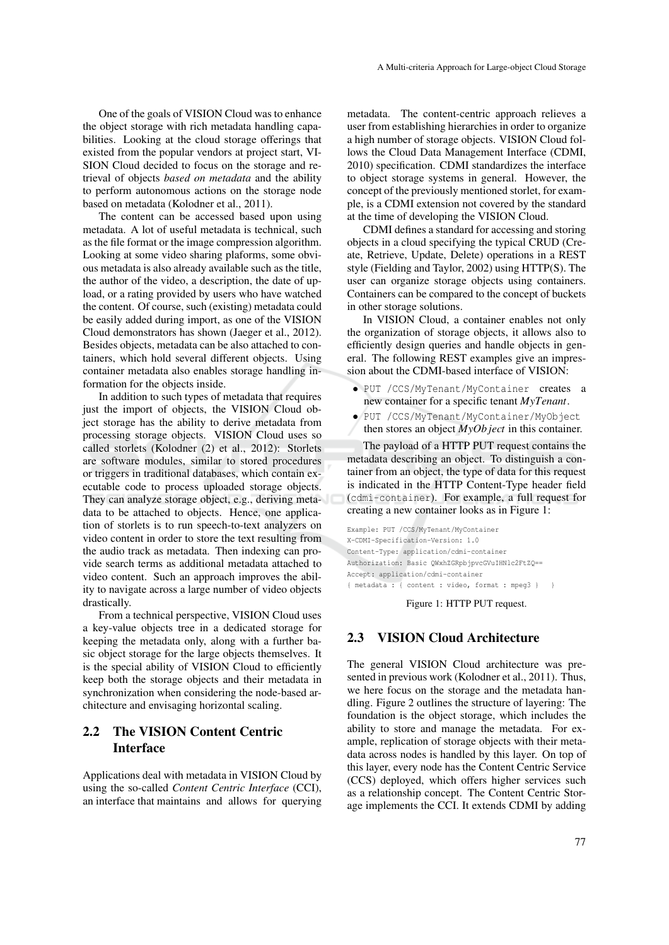One of the goals of VISION Cloud was to enhance the object storage with rich metadata handling capabilities. Looking at the cloud storage offerings that existed from the popular vendors at project start, VI-SION Cloud decided to focus on the storage and retrieval of objects *based on metadata* and the ability to perform autonomous actions on the storage node based on metadata (Kolodner et al., 2011).

The content can be accessed based upon using metadata. A lot of useful metadata is technical, such as the file format or the image compression algorithm. Looking at some video sharing plaforms, some obvious metadata is also already available such as the title, the author of the video, a description, the date of upload, or a rating provided by users who have watched the content. Of course, such (existing) metadata could be easily added during import, as one of the VISION Cloud demonstrators has shown (Jaeger et al., 2012). Besides objects, metadata can be also attached to containers, which hold several different objects. Using container metadata also enables storage handling information for the objects inside.

In addition to such types of metadata that requires just the import of objects, the VISION Cloud object storage has the ability to derive metadata from processing storage objects. VISION Cloud uses so called storlets (Kolodner (2) et al., 2012): Storlets are software modules, similar to stored procedures or triggers in traditional databases, which contain executable code to process uploaded storage objects. They can analyze storage object, e.g., deriving metadata to be attached to objects. Hence, one application of storlets is to run speech-to-text analyzers on video content in order to store the text resulting from the audio track as metadata. Then indexing can provide search terms as additional metadata attached to video content. Such an approach improves the ability to navigate across a large number of video objects drastically.

From a technical perspective, VISION Cloud uses a key-value objects tree in a dedicated storage for keeping the metadata only, along with a further basic object storage for the large objects themselves. It is the special ability of VISION Cloud to efficiently keep both the storage objects and their metadata in synchronization when considering the node-based architecture and envisaging horizontal scaling.

# 2.2 The VISION Content Centric Interface

Applications deal with metadata in VISION Cloud by using the so-called *Content Centric Interface* (CCI), an interface that maintains and allows for querying

metadata. The content-centric approach relieves a user from establishing hierarchies in order to organize a high number of storage objects. VISION Cloud follows the Cloud Data Management Interface (CDMI, 2010) specification. CDMI standardizes the interface to object storage systems in general. However, the concept of the previously mentioned storlet, for example, is a CDMI extension not covered by the standard at the time of developing the VISION Cloud.

CDMI defines a standard for accessing and storing objects in a cloud specifying the typical CRUD (Create, Retrieve, Update, Delete) operations in a REST style (Fielding and Taylor, 2002) using HTTP(S). The user can organize storage objects using containers. Containers can be compared to the concept of buckets in other storage solutions.

In VISION Cloud, a container enables not only the organization of storage objects, it allows also to efficiently design queries and handle objects in general. The following REST examples give an impression about the CDMI-based interface of VISION:

- PUT /CCS/MyTenant/MyContainer creates a new container for a specific tenant *MyTenant*.
- PUT /CCS/MyTenant/MyContainer/MyObject then stores an object *MyOb ject* in this container.

The payload of a HTTP PUT request contains the metadata describing an object. To distinguish a container from an object, the type of data for this request is indicated in the HTTP Content-Type header field (cdmi-container). For example, a full request for creating a new container looks as in Figure 1:

Example: PUT /CCS/MyTenant/MyContainer X-CDMI-Specification-Version: 1.0 Content-Type: application/cdmi-container Authorization: Basic QWxhZGRpbjpvcGVuIHNlc2FtZQ== Accept: application/cdmi-container { metadata : { content : video, format : mpeg3 } }

Figure 1: HTTP PUT request.

## 2.3 VISION Cloud Architecture

The general VISION Cloud architecture was presented in previous work (Kolodner et al., 2011). Thus, we here focus on the storage and the metadata handling. Figure 2 outlines the structure of layering: The foundation is the object storage, which includes the ability to store and manage the metadata. For example, replication of storage objects with their metadata across nodes is handled by this layer. On top of this layer, every node has the Content Centric Service (CCS) deployed, which offers higher services such as a relationship concept. The Content Centric Storage implements the CCI. It extends CDMI by adding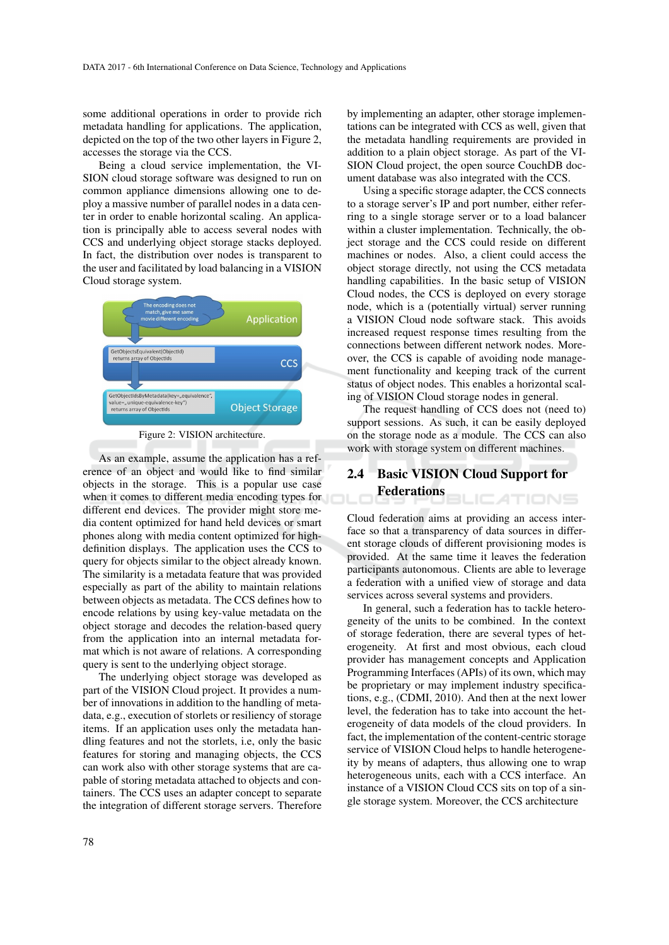some additional operations in order to provide rich metadata handling for applications. The application, depicted on the top of the two other layers in Figure 2, accesses the storage via the CCS.

Being a cloud service implementation, the VI-SION cloud storage software was designed to run on common appliance dimensions allowing one to deploy a massive number of parallel nodes in a data center in order to enable horizontal scaling. An application is principally able to access several nodes with CCS and underlying object storage stacks deployed. In fact, the distribution over nodes is transparent to the user and facilitated by load balancing in a VISION Cloud storage system.



Figure 2: VISION architecture.

As an example, assume the application has a reference of an object and would like to find similar objects in the storage. This is a popular use case when it comes to different media encoding types for different end devices. The provider might store media content optimized for hand held devices or smart phones along with media content optimized for highdefinition displays. The application uses the CCS to query for objects similar to the object already known. The similarity is a metadata feature that was provided especially as part of the ability to maintain relations between objects as metadata. The CCS defines how to encode relations by using key-value metadata on the object storage and decodes the relation-based query from the application into an internal metadata format which is not aware of relations. A corresponding query is sent to the underlying object storage.

The underlying object storage was developed as part of the VISION Cloud project. It provides a number of innovations in addition to the handling of metadata, e.g., execution of storlets or resiliency of storage items. If an application uses only the metadata handling features and not the storlets, i.e, only the basic features for storing and managing objects, the CCS can work also with other storage systems that are capable of storing metadata attached to objects and containers. The CCS uses an adapter concept to separate the integration of different storage servers. Therefore by implementing an adapter, other storage implementations can be integrated with CCS as well, given that the metadata handling requirements are provided in addition to a plain object storage. As part of the VI-SION Cloud project, the open source CouchDB document database was also integrated with the CCS.

Using a specific storage adapter, the CCS connects to a storage server's IP and port number, either referring to a single storage server or to a load balancer within a cluster implementation. Technically, the object storage and the CCS could reside on different machines or nodes. Also, a client could access the object storage directly, not using the CCS metadata handling capabilities. In the basic setup of VISION Cloud nodes, the CCS is deployed on every storage node, which is a (potentially virtual) server running a VISION Cloud node software stack. This avoids increased request response times resulting from the connections between different network nodes. Moreover, the CCS is capable of avoiding node management functionality and keeping track of the current status of object nodes. This enables a horizontal scaling of VISION Cloud storage nodes in general.

The request handling of CCS does not (need to) support sessions. As such, it can be easily deployed on the storage node as a module. The CCS can also work with storage system on different machines.

### 2.4 Basic VISION Cloud Support for Federations **ICATIONS**

Cloud federation aims at providing an access interface so that a transparency of data sources in different storage clouds of different provisioning modes is provided. At the same time it leaves the federation participants autonomous. Clients are able to leverage a federation with a unified view of storage and data services across several systems and providers.

In general, such a federation has to tackle heterogeneity of the units to be combined. In the context of storage federation, there are several types of heterogeneity. At first and most obvious, each cloud provider has management concepts and Application Programming Interfaces (APIs) of its own, which may be proprietary or may implement industry specifications, e.g., (CDMI, 2010). And then at the next lower level, the federation has to take into account the heterogeneity of data models of the cloud providers. In fact, the implementation of the content-centric storage service of VISION Cloud helps to handle heterogeneity by means of adapters, thus allowing one to wrap heterogeneous units, each with a CCS interface. An instance of a VISION Cloud CCS sits on top of a single storage system. Moreover, the CCS architecture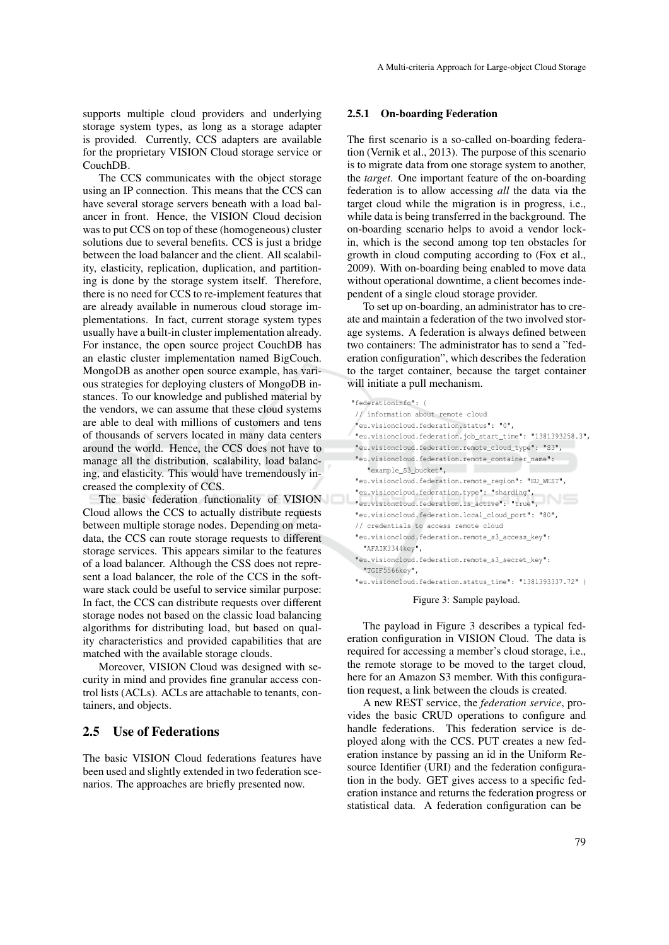supports multiple cloud providers and underlying storage system types, as long as a storage adapter is provided. Currently, CCS adapters are available for the proprietary VISION Cloud storage service or CouchDB.

The CCS communicates with the object storage using an IP connection. This means that the CCS can have several storage servers beneath with a load balancer in front. Hence, the VISION Cloud decision was to put CCS on top of these (homogeneous) cluster solutions due to several benefits. CCS is just a bridge between the load balancer and the client. All scalability, elasticity, replication, duplication, and partitioning is done by the storage system itself. Therefore, there is no need for CCS to re-implement features that are already available in numerous cloud storage implementations. In fact, current storage system types usually have a built-in cluster implementation already. For instance, the open source project CouchDB has an elastic cluster implementation named BigCouch. MongoDB as another open source example, has various strategies for deploying clusters of MongoDB instances. To our knowledge and published material by the vendors, we can assume that these cloud systems are able to deal with millions of customers and tens of thousands of servers located in many data centers around the world. Hence, the CCS does not have to manage all the distribution, scalability, load balancing, and elasticity. This would have tremendously increased the complexity of CCS.

The basic federation functionality of VISION Cloud allows the CCS to actually distribute requests between multiple storage nodes. Depending on metadata, the CCS can route storage requests to different storage services. This appears similar to the features of a load balancer. Although the CSS does not represent a load balancer, the role of the CCS in the software stack could be useful to service similar purpose: In fact, the CCS can distribute requests over different storage nodes not based on the classic load balancing algorithms for distributing load, but based on quality characteristics and provided capabilities that are matched with the available storage clouds.

Moreover, VISION Cloud was designed with security in mind and provides fine granular access control lists (ACLs). ACLs are attachable to tenants, containers, and objects.

## 2.5 Use of Federations

The basic VISION Cloud federations features have been used and slightly extended in two federation scenarios. The approaches are briefly presented now.

#### 2.5.1 On-boarding Federation

The first scenario is a so-called on-boarding federation (Vernik et al., 2013). The purpose of this scenario is to migrate data from one storage system to another, the *target*. One important feature of the on-boarding federation is to allow accessing *all* the data via the target cloud while the migration is in progress, i.e., while data is being transferred in the background. The on-boarding scenario helps to avoid a vendor lockin, which is the second among top ten obstacles for growth in cloud computing according to (Fox et al., 2009). With on-boarding being enabled to move data without operational downtime, a client becomes independent of a single cloud storage provider.

To set up on-boarding, an administrator has to create and maintain a federation of the two involved storage systems. A federation is always defined between two containers: The administrator has to send a "federation configuration", which describes the federation to the target container, because the target container will initiate a pull mechanism.

| "federationinfo": {                                         |
|-------------------------------------------------------------|
| // information about remote cloud                           |
| "eu.visioncloud.federation.status": "0",                    |
| "eu.visioncloud.federation.job start time": "1381393258.3", |
| "eu.visioncloud.federation.remote cloud type": "S3",        |
| "eu.visioncloud.federation.remote container name":          |
| "example S3 bucket",                                        |
| "eu.visioncloud.federation.remote_region": "EU_WEST",       |
| "eu.visioncloud.federation.type": "sharding",               |
| "eu.visioncloud.federation.is active": "true",              |
| "eu.visioncloud.federation.local_cloud_port": "80",         |
| // credentials to access remote cloud                       |
| "eu.visioncloud.federation.remote s3 access key":           |
| "AFAIK3344kev",                                             |
| "eu.visioncloud.federation.remote s3 secret key":           |
| "TGIF5566key",                                              |

"eu.visioncloud.federation.status\_time": "1381393337.72" }

#### Figure 3: Sample payload.

The payload in Figure 3 describes a typical federation configuration in VISION Cloud. The data is required for accessing a member's cloud storage, i.e., the remote storage to be moved to the target cloud, here for an Amazon S3 member. With this configuration request, a link between the clouds is created.

A new REST service, the *federation service*, provides the basic CRUD operations to configure and handle federations. This federation service is deployed along with the CCS. PUT creates a new federation instance by passing an id in the Uniform Resource Identifier (URI) and the federation configuration in the body. GET gives access to a specific federation instance and returns the federation progress or statistical data. A federation configuration can be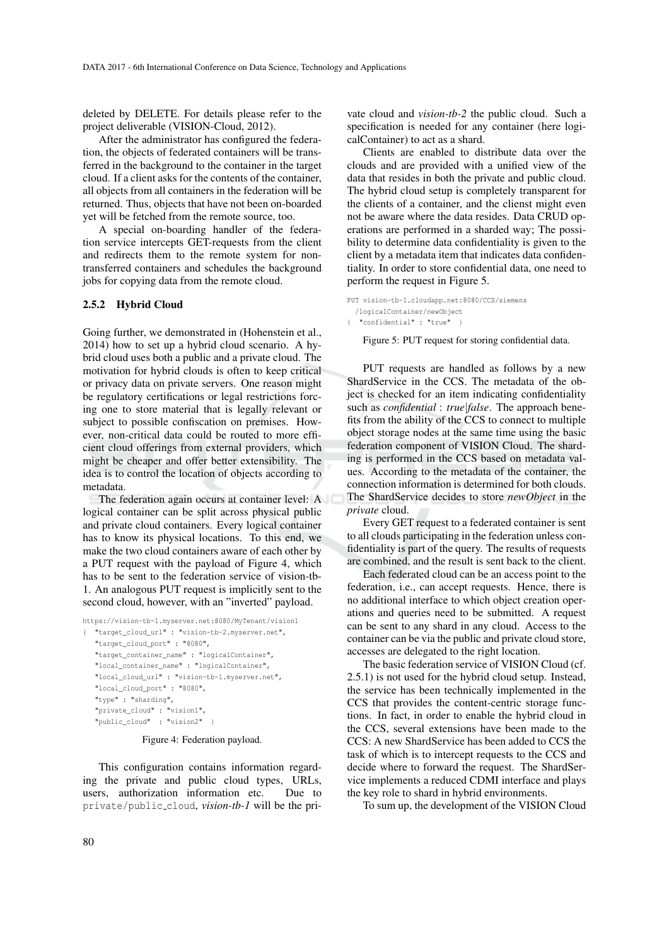deleted by DELETE. For details please refer to the project deliverable (VISION-Cloud, 2012).

After the administrator has configured the federation, the objects of federated containers will be transferred in the background to the container in the target cloud. If a client asks for the contents of the container, all objects from all containers in the federation will be returned. Thus, objects that have not been on-boarded yet will be fetched from the remote source, too.

A special on-boarding handler of the federation service intercepts GET-requests from the client and redirects them to the remote system for nontransferred containers and schedules the background jobs for copying data from the remote cloud.

#### 2.5.2 Hybrid Cloud

Going further, we demonstrated in (Hohenstein et al., 2014) how to set up a hybrid cloud scenario. A hybrid cloud uses both a public and a private cloud. The motivation for hybrid clouds is often to keep critical or privacy data on private servers. One reason might be regulatory certifications or legal restrictions forcing one to store material that is legally relevant or subject to possible confiscation on premises. However, non-critical data could be routed to more efficient cloud offerings from external providers, which might be cheaper and offer better extensibility. The idea is to control the location of objects according to metadata.

The federation again occurs at container level: A logical container can be split across physical public and private cloud containers. Every logical container has to know its physical locations. To this end, we make the two cloud containers aware of each other by a PUT request with the payload of Figure 4, which has to be sent to the federation service of vision-tb-1. An analogous PUT request is implicitly sent to the second cloud, however, with an "inverted" payload.

https://vision-tb-1.myserver.net:8080/MyTenant/vision1 { "target\_cloud\_url" : "vision-tb-2.myserver.net", "target\_cloud\_port" : "8080", "target\_container\_name" : "logicalContainer", "local container name" : "logicalContainer", "local\_cloud\_url" : "vision-tb-1.myserver.net", "local\_cloud\_port" : "8080", "type" : "sharding", "private\_cloud" : "vision1", "public\_cloud" : "vision2" }

Figure 4: Federation payload.

This configuration contains information regarding the private and public cloud types, URLs, users, authorization information etc. Due to private/public cloud, *vision-tb-1* will be the private cloud and *vision-tb-2* the public cloud. Such a specification is needed for any container (here logicalContainer) to act as a shard.

Clients are enabled to distribute data over the clouds and are provided with a unified view of the data that resides in both the private and public cloud. The hybrid cloud setup is completely transparent for the clients of a container, and the clienst might even not be aware where the data resides. Data CRUD operations are performed in a sharded way; The possibility to determine data confidentiality is given to the client by a metadata item that indicates data confidentiality. In order to store confidential data, one need to perform the request in Figure 5.

```
PUT vision-tb-1.cloudapp.net:8080/CCS/siemens
 /logicalContainer/newObject
{ "confidential" : "true" }
```
Figure 5: PUT request for storing confidential data.

PUT requests are handled as follows by a new ShardService in the CCS. The metadata of the object is checked for an item indicating confidentiality such as *confidential* : *true*|*false*. The approach benefits from the ability of the CCS to connect to multiple object storage nodes at the same time using the basic federation component of VISION Cloud. The sharding is performed in the CCS based on metadata values. According to the metadata of the container, the connection information is determined for both clouds. The ShardService decides to store *newObject* in the *private* cloud.

Every GET request to a federated container is sent to all clouds participating in the federation unless confidentiality is part of the query. The results of requests are combined, and the result is sent back to the client.

Each federated cloud can be an access point to the federation, i.e., can accept requests. Hence, there is no additional interface to which object creation operations and queries need to be submitted. A request can be sent to any shard in any cloud. Access to the container can be via the public and private cloud store, accesses are delegated to the right location.

The basic federation service of VISION Cloud (cf. 2.5.1) is not used for the hybrid cloud setup. Instead, the service has been technically implemented in the CCS that provides the content-centric storage functions. In fact, in order to enable the hybrid cloud in the CCS, several extensions have been made to the CCS: A new ShardService has been added to CCS the task of which is to intercept requests to the CCS and decide where to forward the request. The ShardService implements a reduced CDMI interface and plays the key role to shard in hybrid environments.

To sum up, the development of the VISION Cloud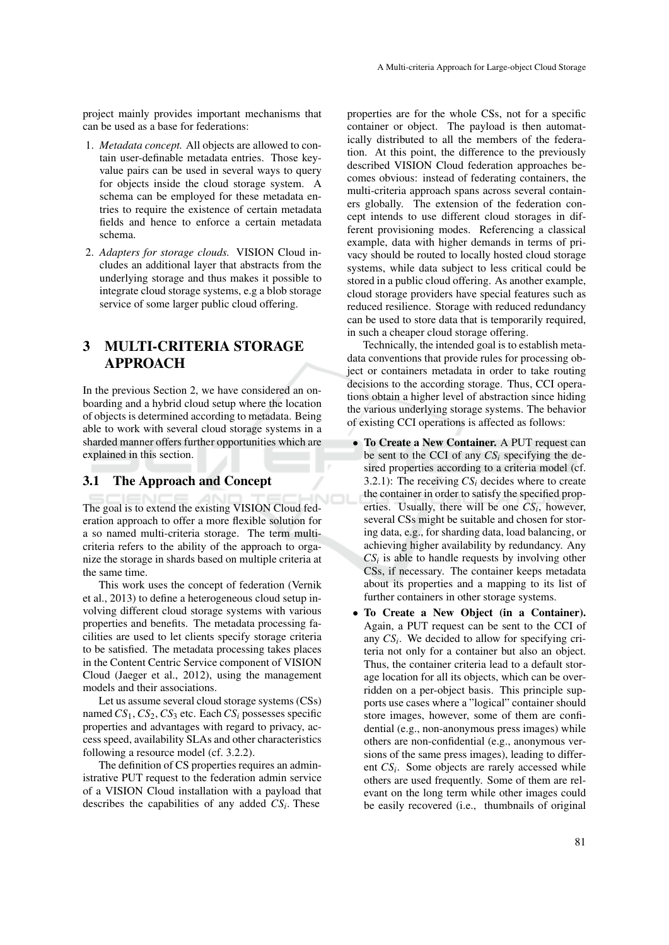project mainly provides important mechanisms that can be used as a base for federations:

- 1. *Metadata concept.* All objects are allowed to contain user-definable metadata entries. Those keyvalue pairs can be used in several ways to query for objects inside the cloud storage system. A schema can be employed for these metadata entries to require the existence of certain metadata fields and hence to enforce a certain metadata schema.
- 2. *Adapters for storage clouds.* VISION Cloud includes an additional layer that abstracts from the underlying storage and thus makes it possible to integrate cloud storage systems, e.g a blob storage service of some larger public cloud offering.

# 3 MULTI-CRITERIA STORAGE APPROACH

In the previous Section 2, we have considered an onboarding and a hybrid cloud setup where the location of objects is determined according to metadata. Being able to work with several cloud storage systems in a sharded manner offers further opportunities which are explained in this section.

## 3.1 The Approach and Concept

The goal is to extend the existing VISION Cloud federation approach to offer a more flexible solution for a so named multi-criteria storage. The term multicriteria refers to the ability of the approach to organize the storage in shards based on multiple criteria at the same time.

This work uses the concept of federation (Vernik et al., 2013) to define a heterogeneous cloud setup involving different cloud storage systems with various properties and benefits. The metadata processing facilities are used to let clients specify storage criteria to be satisfied. The metadata processing takes places in the Content Centric Service component of VISION Cloud (Jaeger et al., 2012), using the management models and their associations.

Let us assume several cloud storage systems (CSs) named*CS*1, *CS*2, *CS*<sup>3</sup> etc. Each*CS<sup>i</sup>* possesses specific properties and advantages with regard to privacy, access speed, availability SLAs and other characteristics following a resource model (cf. 3.2.2).

The definition of CS properties requires an administrative PUT request to the federation admin service of a VISION Cloud installation with a payload that describes the capabilities of any added *CS<sup>i</sup>* . These

properties are for the whole CSs, not for a specific container or object. The payload is then automatically distributed to all the members of the federation. At this point, the difference to the previously described VISION Cloud federation approaches becomes obvious: instead of federating containers, the multi-criteria approach spans across several containers globally. The extension of the federation concept intends to use different cloud storages in different provisioning modes. Referencing a classical example, data with higher demands in terms of privacy should be routed to locally hosted cloud storage systems, while data subject to less critical could be stored in a public cloud offering. As another example, cloud storage providers have special features such as reduced resilience. Storage with reduced redundancy can be used to store data that is temporarily required, in such a cheaper cloud storage offering.

Technically, the intended goal is to establish metadata conventions that provide rules for processing object or containers metadata in order to take routing decisions to the according storage. Thus, CCI operations obtain a higher level of abstraction since hiding the various underlying storage systems. The behavior of existing CCI operations is affected as follows:

- To Create a New Container. A PUT request can be sent to the CCI of any  $CS_i$  specifying the desired properties according to a criteria model (cf. 3.2.1): The receiving  $CS_i$  decides where to create the container in order to satisfy the specified properties. Usually, there will be one  $CS_i$ , however, several CSs might be suitable and chosen for storing data, e.g., for sharding data, load balancing, or achieving higher availability by redundancy. Any  $CS<sub>i</sub>$  is able to handle requests by involving other CSs, if necessary. The container keeps metadata about its properties and a mapping to its list of further containers in other storage systems.
- To Create a New Object (in a Container). Again, a PUT request can be sent to the CCI of any  $CS_i$ . We decided to allow for specifying criteria not only for a container but also an object. Thus, the container criteria lead to a default storage location for all its objects, which can be overridden on a per-object basis. This principle supports use cases where a "logical" container should store images, however, some of them are confidential (e.g., non-anonymous press images) while others are non-confidential (e.g., anonymous versions of the same press images), leading to different *CS*<sup>*i*</sup>. Some objects are rarely accessed while others are used frequently. Some of them are relevant on the long term while other images could be easily recovered (i.e., thumbnails of original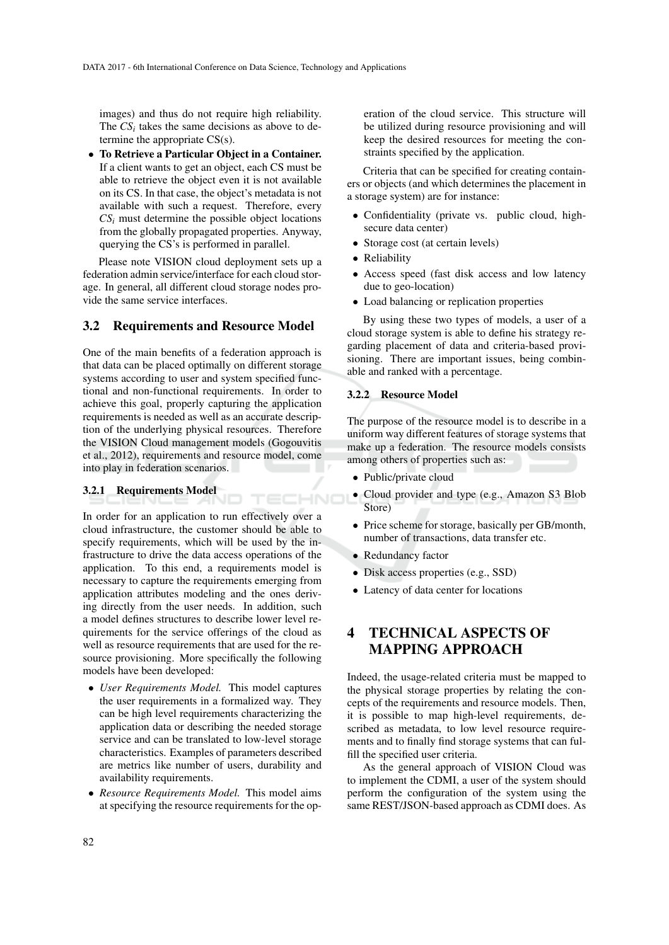images) and thus do not require high reliability. The  $CS_i$  takes the same decisions as above to determine the appropriate CS(s).

• To Retrieve a Particular Object in a Container. If a client wants to get an object, each CS must be able to retrieve the object even it is not available on its CS. In that case, the object's metadata is not available with such a request. Therefore, every  $CS<sub>i</sub>$  must determine the possible object locations from the globally propagated properties. Anyway, querying the CS's is performed in parallel.

Please note VISION cloud deployment sets up a federation admin service/interface for each cloud storage. In general, all different cloud storage nodes provide the same service interfaces.

## 3.2 Requirements and Resource Model

One of the main benefits of a federation approach is that data can be placed optimally on different storage systems according to user and system specified functional and non-functional requirements. In order to achieve this goal, properly capturing the application requirements is needed as well as an accurate description of the underlying physical resources. Therefore the VISION Cloud management models (Gogouvitis et al., 2012), requirements and resource model, come into play in federation scenarios.

TECHNO

### 3.2.1 Requirements Model

In order for an application to run effectively over a cloud infrastructure, the customer should be able to specify requirements, which will be used by the infrastructure to drive the data access operations of the application. To this end, a requirements model is necessary to capture the requirements emerging from application attributes modeling and the ones deriving directly from the user needs. In addition, such a model defines structures to describe lower level requirements for the service offerings of the cloud as well as resource requirements that are used for the resource provisioning. More specifically the following models have been developed:

- *User Requirements Model.* This model captures the user requirements in a formalized way. They can be high level requirements characterizing the application data or describing the needed storage service and can be translated to low-level storage characteristics. Examples of parameters described are metrics like number of users, durability and availability requirements.
- *Resource Requirements Model.* This model aims at specifying the resource requirements for the op-

eration of the cloud service. This structure will be utilized during resource provisioning and will keep the desired resources for meeting the constraints specified by the application.

Criteria that can be specified for creating containers or objects (and which determines the placement in a storage system) are for instance:

- Confidentiality (private vs. public cloud, highsecure data center)
- Storage cost (at certain levels)
- Reliability
- Access speed (fast disk access and low latency due to geo-location)
- Load balancing or replication properties

By using these two types of models, a user of a cloud storage system is able to define his strategy regarding placement of data and criteria-based provisioning. There are important issues, being combinable and ranked with a percentage.

### 3.2.2 Resource Model

The purpose of the resource model is to describe in a uniform way different features of storage systems that make up a federation. The resource models consists among others of properties such as:

- Public/private cloud
- Cloud provider and type (e.g., Amazon S3 Blob Store)
- Price scheme for storage, basically per GB/month, number of transactions, data transfer etc.
- Redundancy factor
- Disk access properties (e.g., SSD)
- Latency of data center for locations

# 4 TECHNICAL ASPECTS OF MAPPING APPROACH

Indeed, the usage-related criteria must be mapped to the physical storage properties by relating the concepts of the requirements and resource models. Then, it is possible to map high-level requirements, described as metadata, to low level resource requirements and to finally find storage systems that can fulfill the specified user criteria.

As the general approach of VISION Cloud was to implement the CDMI, a user of the system should perform the configuration of the system using the same REST/JSON-based approach as CDMI does. As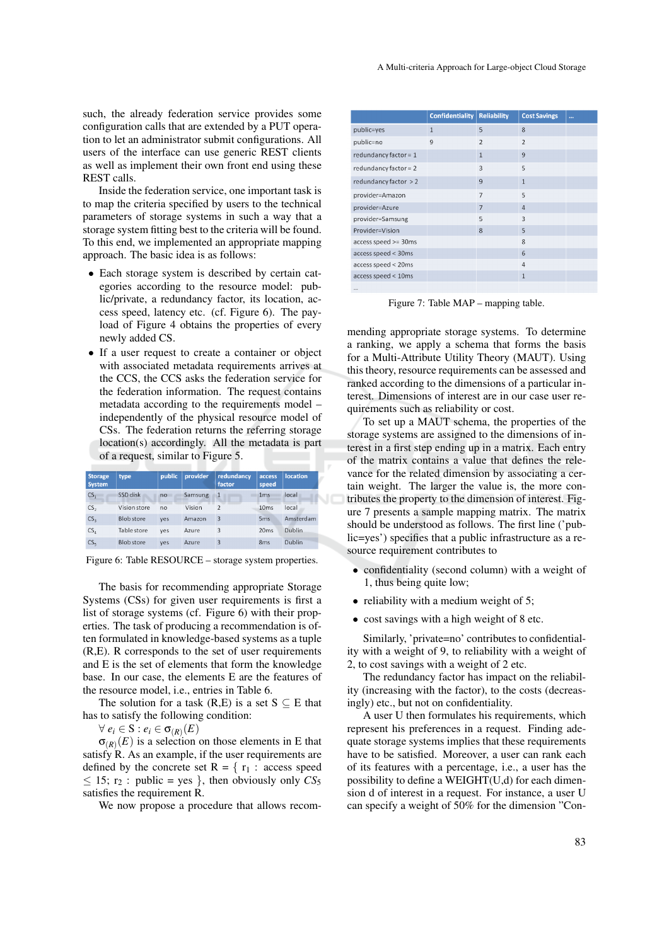such, the already federation service provides some configuration calls that are extended by a PUT operation to let an administrator submit configurations. All users of the interface can use generic REST clients as well as implement their own front end using these REST calls.

Inside the federation service, one important task is to map the criteria specified by users to the technical parameters of storage systems in such a way that a storage system fitting best to the criteria will be found. To this end, we implemented an appropriate mapping approach. The basic idea is as follows:

- Each storage system is described by certain categories according to the resource model: public/private, a redundancy factor, its location, access speed, latency etc. (cf. Figure 6). The payload of Figure 4 obtains the properties of every newly added CS.
- If a user request to create a container or object with associated metadata requirements arrives at the CCS, the CCS asks the federation service for the federation information. The request contains metadata according to the requirements model – independently of the physical resource model of CSs. The federation returns the referring storage location(s) accordingly. All the metadata is part of a request, similar to Figure 5.

| <b>Storage</b><br><b>System</b> | type              | public | provider | redundancy<br>factor | access<br>speed  | <b>location</b> |
|---------------------------------|-------------------|--------|----------|----------------------|------------------|-----------------|
| CS <sub>1</sub>                 | SSD disk          | no     | Samsung  | $\mathbf{1}$         | 1 <sub>ms</sub>  | local           |
| CS <sub>2</sub>                 | Vision store      | no     | Vision   | $\mathfrak{p}$       | 10 <sub>ms</sub> | local           |
| CS <sub>3</sub>                 | <b>Blob</b> store | ves    | Amazon   | 3                    | 5 <sub>ms</sub>  | Amsterdam       |
| CS <sub>4</sub>                 | Table store       | yes    | Azure    | 3                    | 20ms             | <b>Dublin</b>   |
| CS <sub>5</sub>                 | <b>Blob</b> store | ves    | Azure    | 3                    | 8 <sub>ms</sub>  | Dublin          |

Figure 6: Table RESOURCE – storage system properties.

The basis for recommending appropriate Storage Systems (CSs) for given user requirements is first a list of storage systems (cf. Figure 6) with their properties. The task of producing a recommendation is often formulated in knowledge-based systems as a tuple (R,E). R corresponds to the set of user requirements and E is the set of elements that form the knowledge base. In our case, the elements E are the features of the resource model, i.e., entries in Table 6.

The solution for a task  $(R,E)$  is a set  $S \subseteq E$  that has to satisfy the following condition:

 $\forall e_i \in S : e_i \in \sigma_{(R)}(E)$ 

 $\sigma_{(R)}(E)$  is a selection on those elements in E that satisfy R. As an example, if the user requirements are defined by the concrete set  $R = \{ r_1 : \text{access speed} \}$  $\leq$  15; r<sub>2</sub>: public = yes }, then obviously only  $CS_5$ satisfies the requirement R.

We now propose a procedure that allows recom-

|                         | <b>Confidentiality</b> | <b>Reliability</b> | <b>Cost Savings</b> | $\ddotsc$ |
|-------------------------|------------------------|--------------------|---------------------|-----------|
| public=yes              | $\mathbf{1}$           |                    | 8                   |           |
| public=no               | 9                      | $\overline{2}$     | $\overline{2}$      |           |
| redundancy factor = $1$ |                        | $\mathbf{1}$       | 9                   |           |
| redundancy factor = $2$ |                        | 3                  | 5                   |           |
| redundancy factor $> 2$ |                        | 9                  | $\mathbf{1}$        |           |
| provider=Amazon         |                        | $\overline{7}$     | 5                   |           |
| provider=Azure          |                        | $\overline{7}$     | $\overline{4}$      |           |
| provider=Samsung        |                        | 5                  | 3                   |           |
| Provider=Vision         |                        | 8                  | 5                   |           |
| access speed >= 30ms    |                        |                    | 8                   |           |
| access speed < 30ms     |                        |                    | 6                   |           |
| access speed < 20ms     |                        |                    | 4                   |           |
| access speed < 10ms     |                        |                    | $\mathbf{1}$        |           |
| $\cdots$                |                        |                    |                     |           |

Figure 7: Table MAP – mapping table.

mending appropriate storage systems. To determine a ranking, we apply a schema that forms the basis for a Multi-Attribute Utility Theory (MAUT). Using this theory, resource requirements can be assessed and ranked according to the dimensions of a particular interest. Dimensions of interest are in our case user requirements such as reliability or cost.

To set up a MAUT schema, the properties of the storage systems are assigned to the dimensions of interest in a first step ending up in a matrix. Each entry of the matrix contains a value that defines the relevance for the related dimension by associating a certain weight. The larger the value is, the more contributes the property to the dimension of interest. Figure 7 presents a sample mapping matrix. The matrix should be understood as follows. The first line ('public=yes') specifies that a public infrastructure as a resource requirement contributes to

- confidentiality (second column) with a weight of 1, thus being quite low;
- reliability with a medium weight of 5;
- cost savings with a high weight of 8 etc.

Similarly, 'private=no' contributes to confidentiality with a weight of 9, to reliability with a weight of 2, to cost savings with a weight of 2 etc.

The redundancy factor has impact on the reliability (increasing with the factor), to the costs (decreasingly) etc., but not on confidentiality.

A user U then formulates his requirements, which represent his preferences in a request. Finding adequate storage systems implies that these requirements have to be satisfied. Moreover, a user can rank each of its features with a percentage, i.e., a user has the possibility to define a WEIGHT(U,d) for each dimension d of interest in a request. For instance, a user U can specify a weight of 50% for the dimension "Con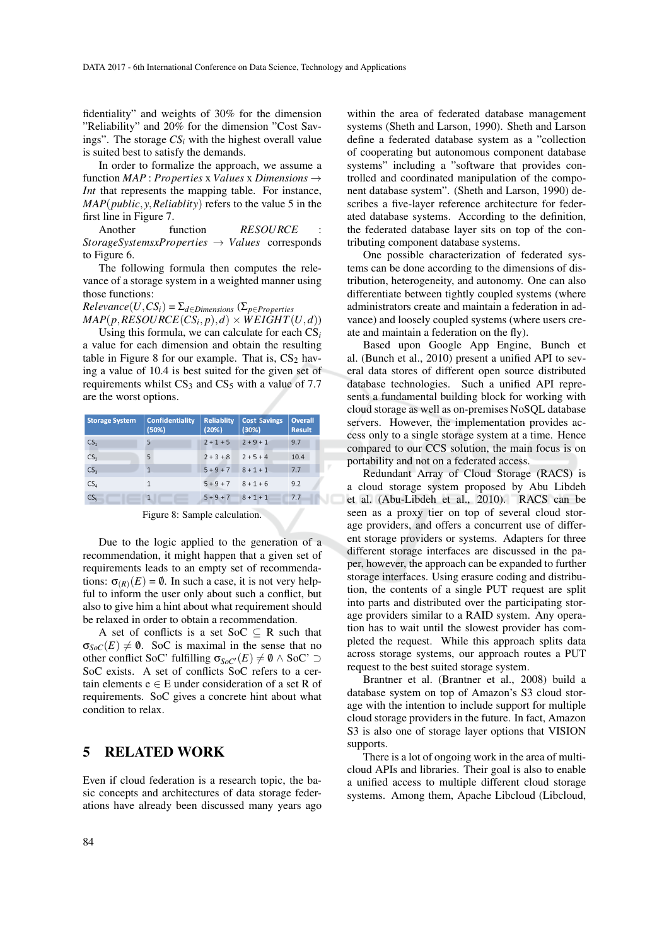fidentiality" and weights of 30% for the dimension "Reliability" and 20% for the dimension "Cost Savings". The storage *CS<sup>i</sup>* with the highest overall value is suited best to satisfy the demands.

In order to formalize the approach, we assume a function *MAP* : *Properties* x *Values* x *Dimensions* → *Int* that represents the mapping table. For instance, *MAP*(*public*, *y*,*Reliablity*) refers to the value 5 in the first line in Figure 7.

Another function *RESOURCE StorageSystemsxProperties* → *Values* corresponds to Figure 6.

The following formula then computes the relevance of a storage system in a weighted manner using those functions:

 $Relevance(U, CS_i) = \sum_{d \in Dimensions} (\sum_{p \in Properties}$ 

 $MAP(p, RESOURCE(CS_i, p), d) \times WEIGHT(U, d)$ 

Using this formula, we can calculate for each CS*<sup>i</sup>* a value for each dimension and obtain the resulting table in Figure 8 for our example. That is,  $CS<sub>2</sub>$  having a value of 10.4 is best suited for the given set of requirements whilst  $CS_3$  and  $CS_5$  with a value of 7.7 are the worst options.

| <b>Storage System</b> | <b>Confidentiality</b><br>(50%) | <b>Reliablity</b><br>(20%) | <b>Cost Savings</b><br>(30%) | <b>Overall</b><br><b>Result</b> |
|-----------------------|---------------------------------|----------------------------|------------------------------|---------------------------------|
| CS <sub>1</sub>       | 5                               | $2 + 1 + 5$                | $2 + 9 + 1$                  | 9.7                             |
| CS <sub>2</sub>       | 5                               | $2 + 3 + 8$                | $2 + 5 + 4$                  | 10.4                            |
| CS <sub>3</sub>       |                                 | $5 + 9 + 7$                | $8 + 1 + 1$                  | 7.7                             |
| CS <sub>4</sub>       | 1                               | $5 + 9 + 7$                | $8 + 1 + 6$                  | 9.2                             |
| CS <sub>5</sub>       | 1                               | $5 + 9 + 7$                | $8 + 1 + 1$                  | 7.7                             |

Figure 8: Sample calculation.

Due to the logic applied to the generation of a recommendation, it might happen that a given set of requirements leads to an empty set of recommendations:  $\sigma_{(R)}(E) = \emptyset$ . In such a case, it is not very helpful to inform the user only about such a conflict, but also to give him a hint about what requirement should be relaxed in order to obtain a recommendation.

A set of conflicts is a set SoC  $\subseteq$  R such that  $\sigma_{Soc}(E) \neq \emptyset$ . SoC is maximal in the sense that no other conflict SoC' fulfilling  $\sigma_{SoC'}(E) \neq \emptyset \wedge$  SoC'  $\supset$ SoC exists. A set of conflicts SoC refers to a certain elements  $e \in E$  under consideration of a set R of requirements. SoC gives a concrete hint about what condition to relax.

## 5 RELATED WORK

Even if cloud federation is a research topic, the basic concepts and architectures of data storage federations have already been discussed many years ago

within the area of federated database management systems (Sheth and Larson, 1990). Sheth and Larson define a federated database system as a "collection of cooperating but autonomous component database systems" including a "software that provides controlled and coordinated manipulation of the component database system". (Sheth and Larson, 1990) describes a five-layer reference architecture for federated database systems. According to the definition, the federated database layer sits on top of the contributing component database systems.

One possible characterization of federated systems can be done according to the dimensions of distribution, heterogeneity, and autonomy. One can also differentiate between tightly coupled systems (where administrators create and maintain a federation in advance) and loosely coupled systems (where users create and maintain a federation on the fly).

Based upon Google App Engine, Bunch et al. (Bunch et al., 2010) present a unified API to several data stores of different open source distributed database technologies. Such a unified API represents a fundamental building block for working with cloud storage as well as on-premises NoSQL database servers. However, the implementation provides access only to a single storage system at a time. Hence compared to our CCS solution, the main focus is on portability and not on a federated access.

Redundant Array of Cloud Storage (RACS) is a cloud storage system proposed by Abu Libdeh et al. (Abu-Libdeh et al., 2010). RACS can be seen as a proxy tier on top of several cloud storage providers, and offers a concurrent use of different storage providers or systems. Adapters for three different storage interfaces are discussed in the paper, however, the approach can be expanded to further storage interfaces. Using erasure coding and distribution, the contents of a single PUT request are split into parts and distributed over the participating storage providers similar to a RAID system. Any operation has to wait until the slowest provider has completed the request. While this approach splits data across storage systems, our approach routes a PUT request to the best suited storage system.

Brantner et al. (Brantner et al., 2008) build a database system on top of Amazon's S3 cloud storage with the intention to include support for multiple cloud storage providers in the future. In fact, Amazon S3 is also one of storage layer options that VISION supports.

There is a lot of ongoing work in the area of multicloud APIs and libraries. Their goal is also to enable a unified access to multiple different cloud storage systems. Among them, Apache Libcloud (Libcloud,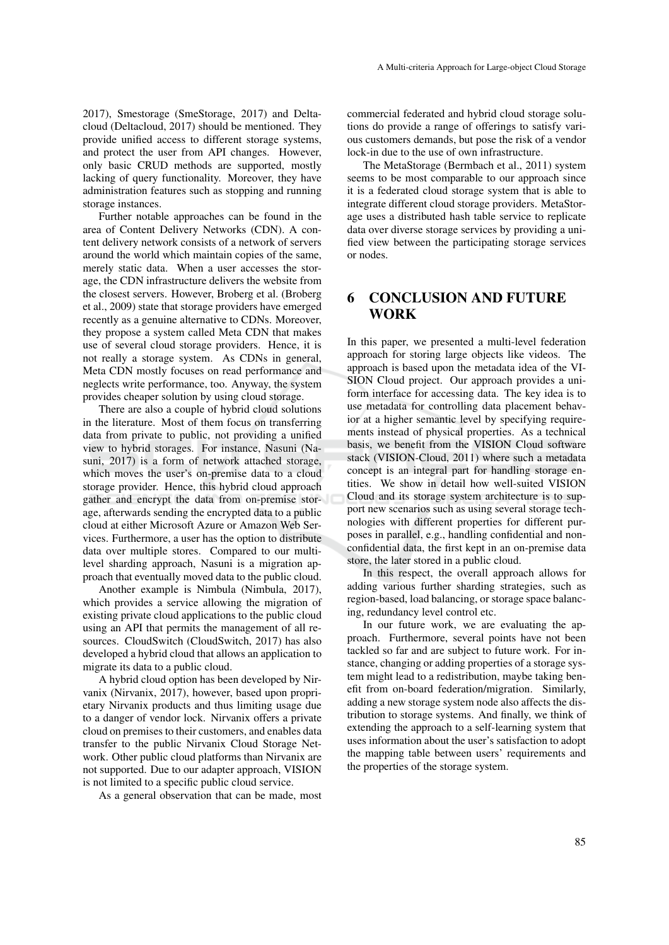2017), Smestorage (SmeStorage, 2017) and Deltacloud (Deltacloud, 2017) should be mentioned. They provide unified access to different storage systems, and protect the user from API changes. However, only basic CRUD methods are supported, mostly lacking of query functionality. Moreover, they have administration features such as stopping and running storage instances.

Further notable approaches can be found in the area of Content Delivery Networks (CDN). A content delivery network consists of a network of servers around the world which maintain copies of the same, merely static data. When a user accesses the storage, the CDN infrastructure delivers the website from the closest servers. However, Broberg et al. (Broberg et al., 2009) state that storage providers have emerged recently as a genuine alternative to CDNs. Moreover, they propose a system called Meta CDN that makes use of several cloud storage providers. Hence, it is not really a storage system. As CDNs in general, Meta CDN mostly focuses on read performance and neglects write performance, too. Anyway, the system provides cheaper solution by using cloud storage.

There are also a couple of hybrid cloud solutions in the literature. Most of them focus on transferring data from private to public, not providing a unified view to hybrid storages. For instance, Nasuni (Nasuni, 2017) is a form of network attached storage, which moves the user's on-premise data to a cloud storage provider. Hence, this hybrid cloud approach gather and encrypt the data from on-premise storage, afterwards sending the encrypted data to a public cloud at either Microsoft Azure or Amazon Web Services. Furthermore, a user has the option to distribute data over multiple stores. Compared to our multilevel sharding approach, Nasuni is a migration approach that eventually moved data to the public cloud.

Another example is Nimbula (Nimbula, 2017), which provides a service allowing the migration of existing private cloud applications to the public cloud using an API that permits the management of all resources. CloudSwitch (CloudSwitch, 2017) has also developed a hybrid cloud that allows an application to migrate its data to a public cloud.

A hybrid cloud option has been developed by Nirvanix (Nirvanix, 2017), however, based upon proprietary Nirvanix products and thus limiting usage due to a danger of vendor lock. Nirvanix offers a private cloud on premises to their customers, and enables data transfer to the public Nirvanix Cloud Storage Network. Other public cloud platforms than Nirvanix are not supported. Due to our adapter approach, VISION is not limited to a specific public cloud service.

As a general observation that can be made, most

commercial federated and hybrid cloud storage solutions do provide a range of offerings to satisfy various customers demands, but pose the risk of a vendor lock-in due to the use of own infrastructure.

The MetaStorage (Bermbach et al., 2011) system seems to be most comparable to our approach since it is a federated cloud storage system that is able to integrate different cloud storage providers. MetaStorage uses a distributed hash table service to replicate data over diverse storage services by providing a unified view between the participating storage services or nodes.

# 6 CONCLUSION AND FUTURE **WORK**

In this paper, we presented a multi-level federation approach for storing large objects like videos. The approach is based upon the metadata idea of the VI-SION Cloud project. Our approach provides a uniform interface for accessing data. The key idea is to use metadata for controlling data placement behavior at a higher semantic level by specifying requirements instead of physical properties. As a technical basis, we benefit from the VISION Cloud software stack (VISION-Cloud, 2011) where such a metadata concept is an integral part for handling storage entities. We show in detail how well-suited VISION Cloud and its storage system architecture is to support new scenarios such as using several storage technologies with different properties for different purposes in parallel, e.g., handling confidential and nonconfidential data, the first kept in an on-premise data store, the later stored in a public cloud.

In this respect, the overall approach allows for adding various further sharding strategies, such as region-based, load balancing, or storage space balancing, redundancy level control etc.

In our future work, we are evaluating the approach. Furthermore, several points have not been tackled so far and are subject to future work. For instance, changing or adding properties of a storage system might lead to a redistribution, maybe taking benefit from on-board federation/migration. Similarly, adding a new storage system node also affects the distribution to storage systems. And finally, we think of extending the approach to a self-learning system that uses information about the user's satisfaction to adopt the mapping table between users' requirements and the properties of the storage system.